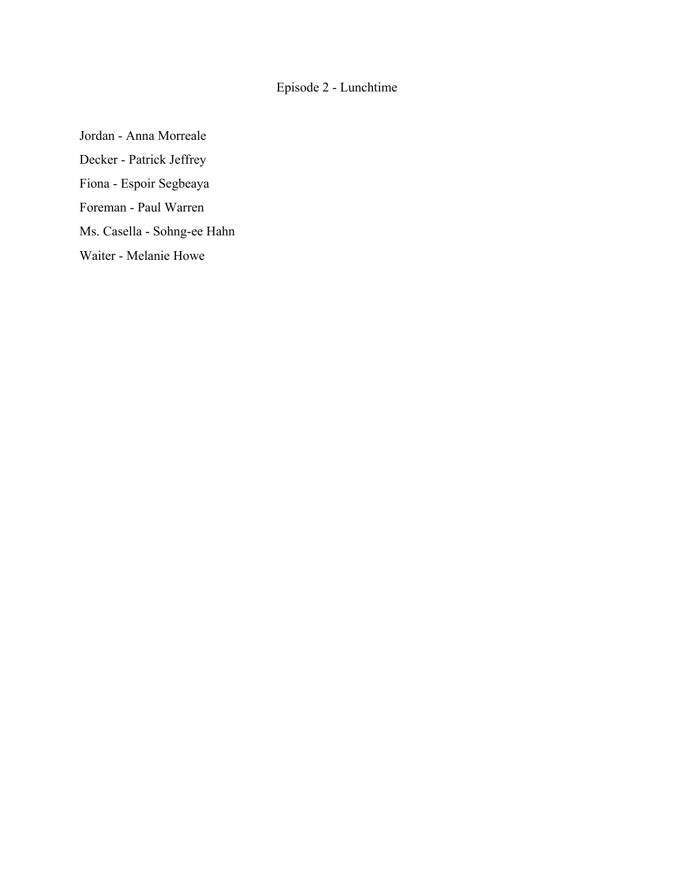### Episode 2 - Lunchtime

Jordan - Anna Morreale Decker - Patrick Jeffrey Fiona - Espoir Segbeaya Foreman - Paul Warren Ms. Casella - Sohng-ee Hahn Waiter - Melanie Howe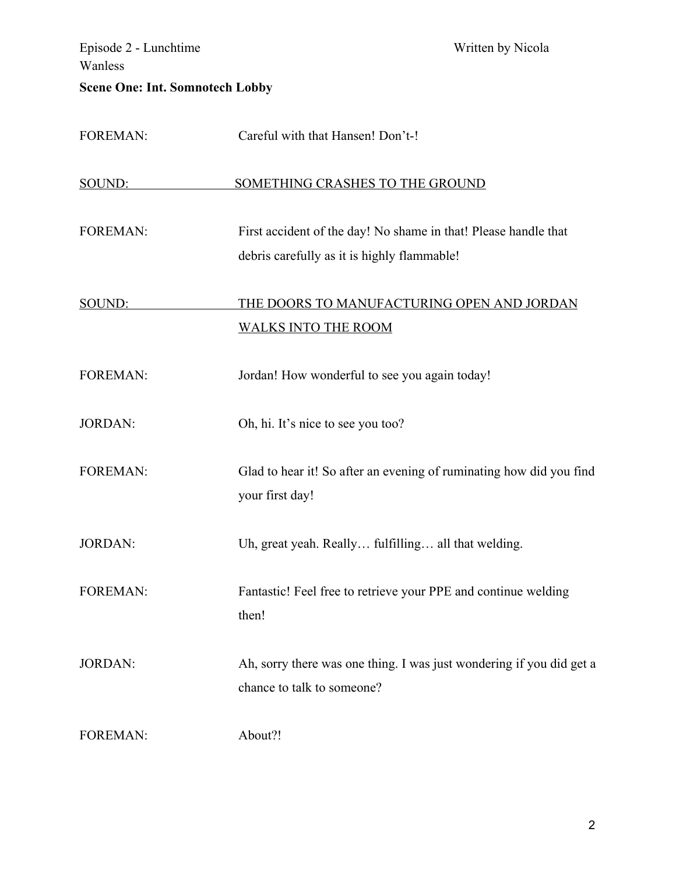## **Scene One: Int. Somnotech Lobby**

| <b>FOREMAN:</b> | Careful with that Hansen! Don't-!                                                                              |
|-----------------|----------------------------------------------------------------------------------------------------------------|
| SOUND:          | SOMETHING CRASHES TO THE GROUND                                                                                |
| <b>FOREMAN:</b> | First accident of the day! No shame in that! Please handle that<br>debris carefully as it is highly flammable! |
| SOUND:          | THE DOORS TO MANUFACTURING OPEN AND JORDAN<br><b>WALKS INTO THE ROOM</b>                                       |
| <b>FOREMAN:</b> | Jordan! How wonderful to see you again today!                                                                  |
| <b>JORDAN:</b>  | Oh, hi. It's nice to see you too?                                                                              |
| <b>FOREMAN:</b> | Glad to hear it! So after an evening of ruminating how did you find<br>your first day!                         |
| <b>JORDAN:</b>  | Uh, great yeah. Really fulfilling all that welding.                                                            |
| <b>FOREMAN:</b> | Fantastic! Feel free to retrieve your PPE and continue welding<br>then!                                        |
| <b>JORDAN:</b>  | Ah, sorry there was one thing. I was just wondering if you did get a<br>chance to talk to someone?             |
| <b>FOREMAN:</b> | About?!                                                                                                        |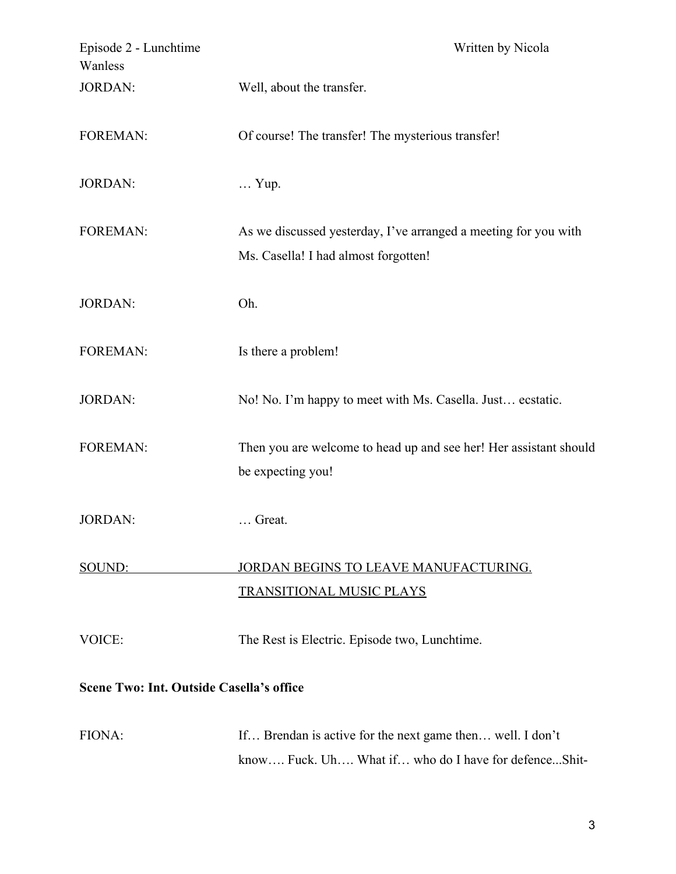| Episode 2 - Lunchtime<br>Wanless                | Written by Nicola                                                                                                 |
|-------------------------------------------------|-------------------------------------------------------------------------------------------------------------------|
| <b>JORDAN:</b>                                  | Well, about the transfer.                                                                                         |
| <b>FOREMAN:</b>                                 | Of course! The transfer! The mysterious transfer!                                                                 |
| <b>JORDAN:</b>                                  | $\ldots$ Yup.                                                                                                     |
| <b>FOREMAN:</b>                                 | As we discussed yesterday, I've arranged a meeting for you with<br>Ms. Casella! I had almost forgotten!           |
| <b>JORDAN:</b>                                  | Oh.                                                                                                               |
| <b>FOREMAN:</b>                                 | Is there a problem!                                                                                               |
| <b>JORDAN:</b>                                  | No! No. I'm happy to meet with Ms. Casella. Just ecstatic.                                                        |
| <b>FOREMAN:</b>                                 | Then you are welcome to head up and see her! Her assistant should<br>be expecting you!                            |
| <b>JORDAN:</b>                                  | Great.                                                                                                            |
| SOUND:                                          | JORDAN BEGINS TO LEAVE MANUFACTURING.                                                                             |
|                                                 | <b>TRANSITIONAL MUSIC PLAYS</b>                                                                                   |
| VOICE:                                          | The Rest is Electric. Episode two, Lunchtime.                                                                     |
| <b>Scene Two: Int. Outside Casella's office</b> |                                                                                                                   |
| FIONA:                                          | If Brendan is active for the next game then well. I don't<br>know Fuck. Uh What if who do I have for defenceShit- |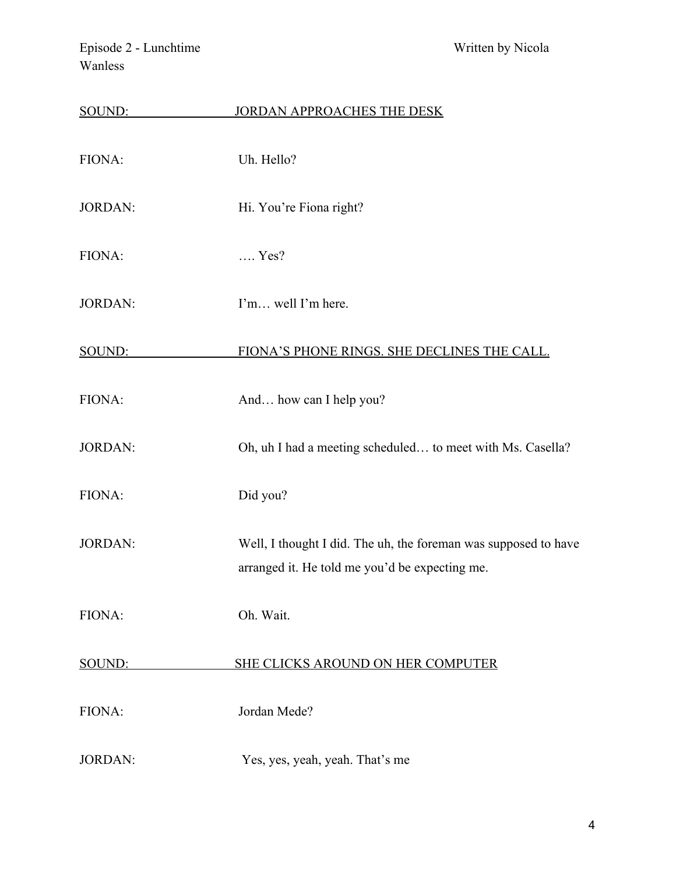| SOUND:         | <b>JORDAN APPROACHES THE DESK</b>                                                                                 |
|----------------|-------------------------------------------------------------------------------------------------------------------|
| FIONA:         | Uh. Hello?                                                                                                        |
| <b>JORDAN:</b> | Hi. You're Fiona right?                                                                                           |
| FIONA:         | $\ldots$ Yes?                                                                                                     |
| <b>JORDAN:</b> | I'm well I'm here.                                                                                                |
| SOUND:         | FIONA'S PHONE RINGS. SHE DECLINES THE CALL.                                                                       |
| FIONA:         | And how can I help you?                                                                                           |
| <b>JORDAN:</b> | Oh, uh I had a meeting scheduled to meet with Ms. Casella?                                                        |
| FIONA:         | Did you?                                                                                                          |
| <b>JORDAN:</b> | Well, I thought I did. The uh, the foreman was supposed to have<br>arranged it. He told me you'd be expecting me. |
| FIONA:         | Oh. Wait.                                                                                                         |
| SOUND:         | SHE CLICKS AROUND ON HER COMPUTER                                                                                 |
| FIONA:         | Jordan Mede?                                                                                                      |
| <b>JORDAN:</b> | Yes, yes, yeah, yeah. That's me                                                                                   |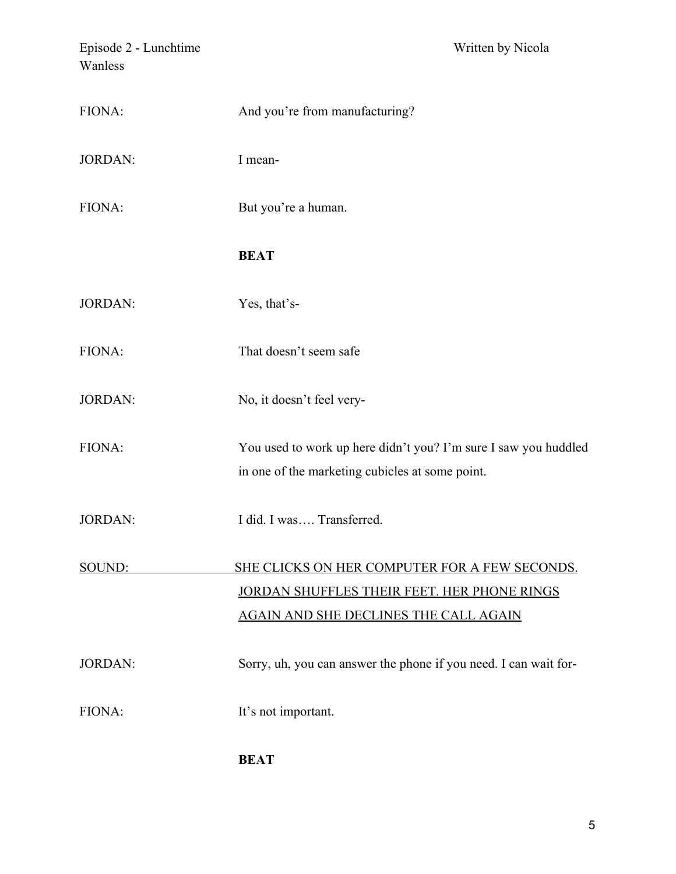Episode 2 - Lunchtime Written by Nicola Wanless FIONA: And you're from manufacturing? JORDAN: I mean-FIONA: But you're a human. **BEAT** JORDAN: Yes, that's-FIONA: That doesn't seem safe JORDAN: No, it doesn't feel very-FIONA: You used to work up here didn't you? I'm sure I saw you huddled in one of the marketing cubicles at some point. JORDAN: I did. I was.... Transferred. SOUND: SHE CLICKS ON HER COMPUTER FOR A FEW SECONDS. JORDAN SHUFFLES THEIR FEET. HER PHONE RINGS AGAIN AND SHE DECLINES THE CALL AGAIN JORDAN: Sorry, uh, you can answer the phone if you need. I can wait for-FIONA: It's not important.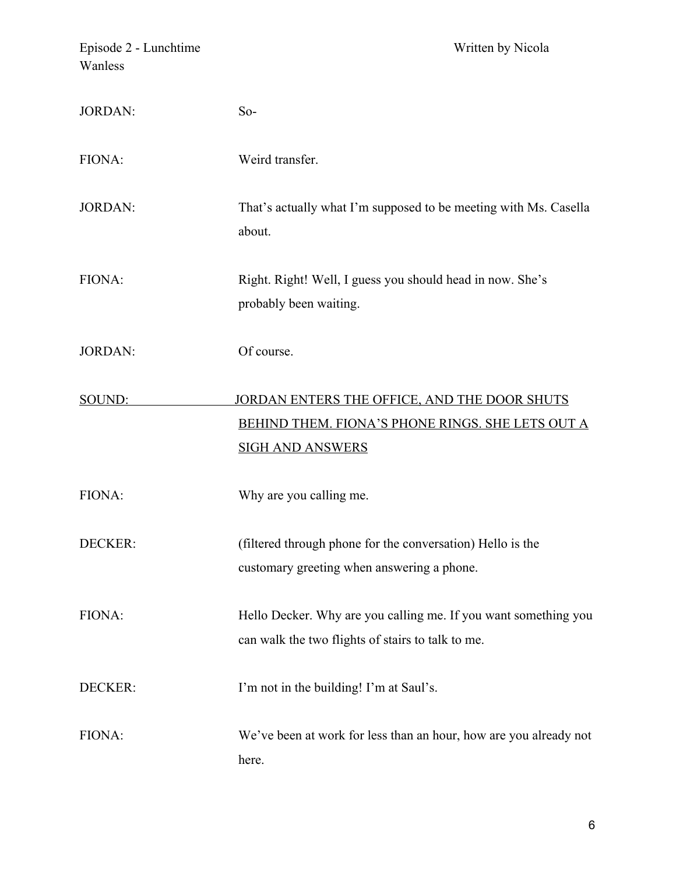| Episode 2 - Lunchtime |
|-----------------------|
| Wanless               |

| <b>JORDAN:</b> | $So-$                                                                                                                              |
|----------------|------------------------------------------------------------------------------------------------------------------------------------|
| FIONA:         | Weird transfer.                                                                                                                    |
| <b>JORDAN:</b> | That's actually what I'm supposed to be meeting with Ms. Casella<br>about.                                                         |
| FIONA:         | Right. Right! Well, I guess you should head in now. She's<br>probably been waiting.                                                |
| <b>JORDAN:</b> | Of course.                                                                                                                         |
| SOUND:         | JORDAN ENTERS THE OFFICE, AND THE DOOR SHUTS<br><b>BEHIND THEM. FIONA'S PHONE RINGS. SHE LETS OUT A</b><br><b>SIGH AND ANSWERS</b> |
| FIONA:         | Why are you calling me.                                                                                                            |
| <b>DECKER:</b> | (filtered through phone for the conversation) Hello is the<br>customary greeting when answering a phone.                           |
| FIONA:         | Hello Decker. Why are you calling me. If you want something you<br>can walk the two flights of stairs to talk to me.               |
| DECKER:        | I'm not in the building! I'm at Saul's.                                                                                            |
| FIONA:         | We've been at work for less than an hour, how are you already not<br>here.                                                         |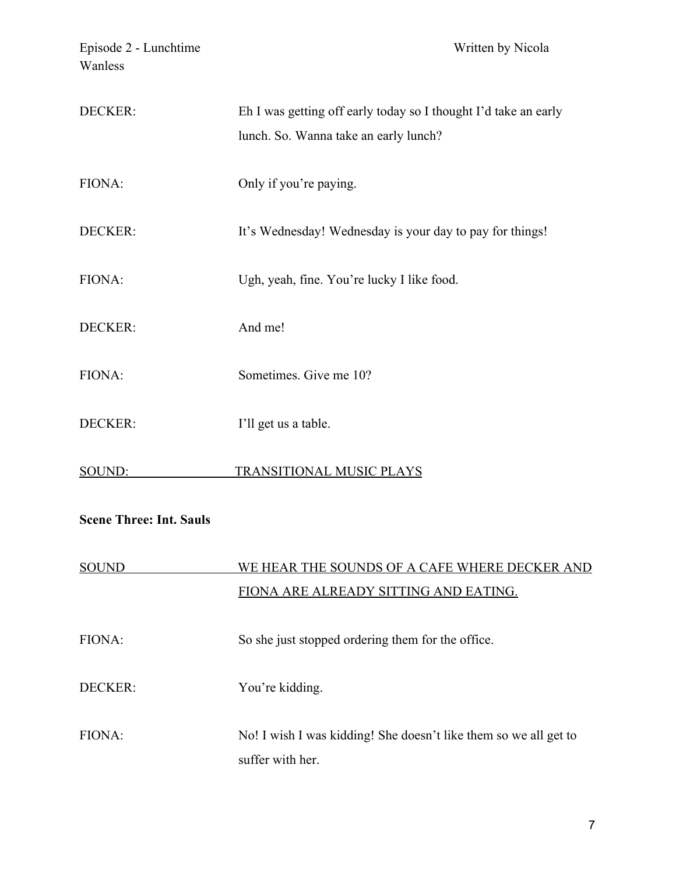| DECKER:                        | Eh I was getting off early today so I thought I'd take an early<br>lunch. So. Wanna take an early lunch? |
|--------------------------------|----------------------------------------------------------------------------------------------------------|
| FIONA:                         | Only if you're paying.                                                                                   |
| DECKER:                        | It's Wednesday! Wednesday is your day to pay for things!                                                 |
| FIONA:                         | Ugh, yeah, fine. You're lucky I like food.                                                               |
| DECKER:                        | And me!                                                                                                  |
| FIONA:                         | Sometimes. Give me 10?                                                                                   |
| DECKER:                        | I'll get us a table.                                                                                     |
| SOUND:                         | <b>TRANSITIONAL MUSIC PLAYS</b>                                                                          |
| <b>Scene Three: Int. Sauls</b> |                                                                                                          |
| <b>SOUND</b>                   | WE HEAR THE SOUNDS OF A CAFE WHERE DECKER AND                                                            |
|                                | FIONA ARE ALREADY SITTING AND EATING.                                                                    |
| FIONA:                         | So she just stopped ordering them for the office.                                                        |
| DECKER:                        | You're kidding.                                                                                          |

FIONA: No! I wish I was kidding! She doesn't like them so we all get to suffer with her.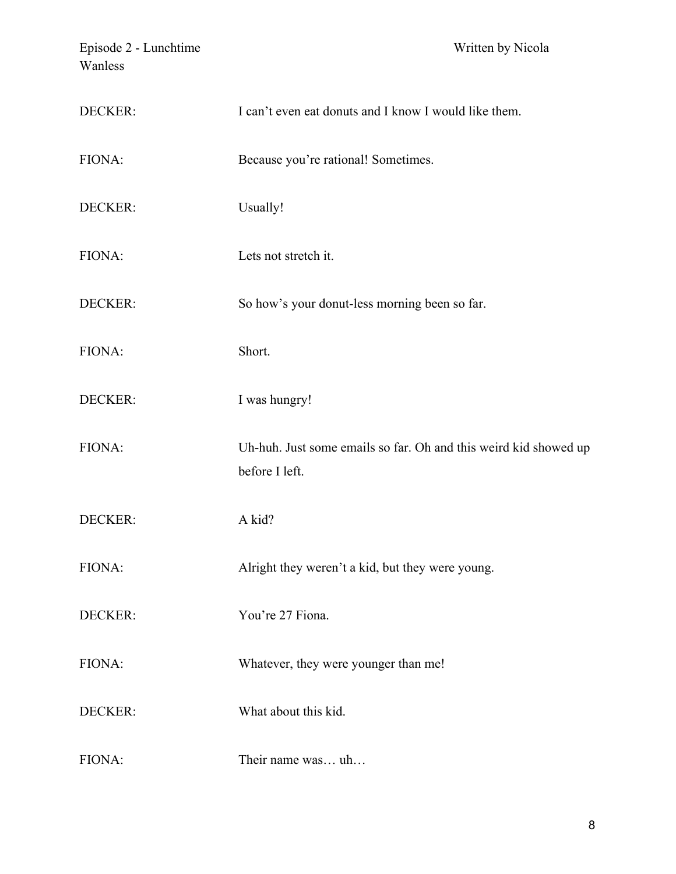| DECKER:        | I can't even eat donuts and I know I would like them.                              |
|----------------|------------------------------------------------------------------------------------|
| FIONA:         | Because you're rational! Sometimes.                                                |
| DECKER:        | Usually!                                                                           |
| FIONA:         | Lets not stretch it.                                                               |
| DECKER:        | So how's your donut-less morning been so far.                                      |
| FIONA:         | Short.                                                                             |
| DECKER:        | I was hungry!                                                                      |
| FIONA:         | Uh-huh. Just some emails so far. Oh and this weird kid showed up<br>before I left. |
| DECKER:        | A kid?                                                                             |
| FIONA:         | Alright they weren't a kid, but they were young.                                   |
| DECKER:        | You're 27 Fiona.                                                                   |
| FIONA:         | Whatever, they were younger than me!                                               |
| <b>DECKER:</b> | What about this kid.                                                               |
| FIONA:         | Their name was uh                                                                  |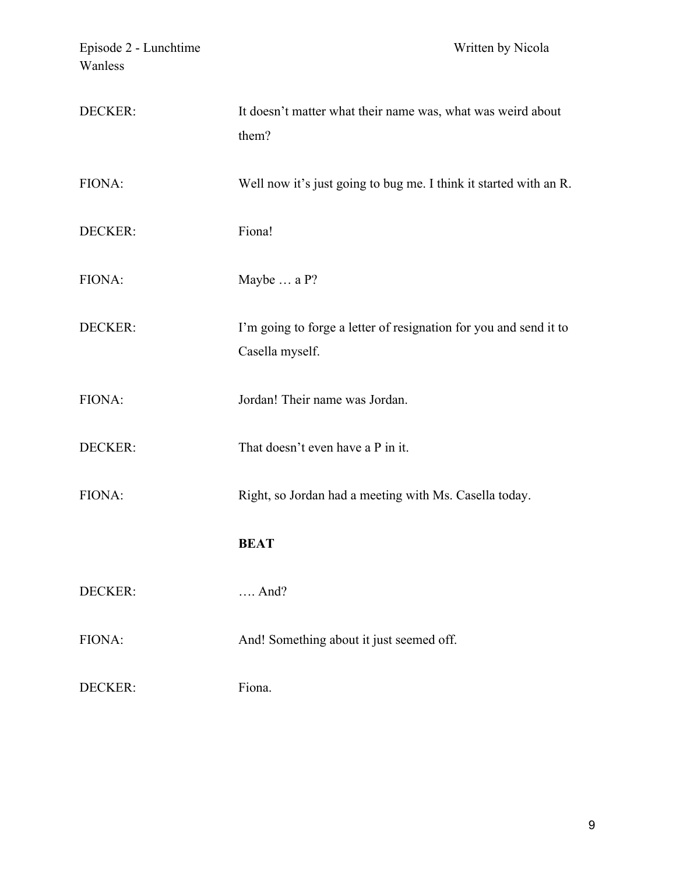| DECKER: | It doesn't matter what their name was, what was weird about<br>them?                 |
|---------|--------------------------------------------------------------------------------------|
| FIONA:  | Well now it's just going to bug me. I think it started with an R.                    |
| DECKER: | Fiona!                                                                               |
| FIONA:  | Maybe  a P?                                                                          |
| DECKER: | I'm going to forge a letter of resignation for you and send it to<br>Casella myself. |
| FIONA:  | Jordan! Their name was Jordan.                                                       |
| DECKER: | That doesn't even have a P in it.                                                    |
| FIONA:  | Right, so Jordan had a meeting with Ms. Casella today.                               |
|         | <b>BEAT</b>                                                                          |
| DECKER: | $\ldots$ And?                                                                        |
| FIONA:  | And! Something about it just seemed off.                                             |
| DECKER: | Fiona.                                                                               |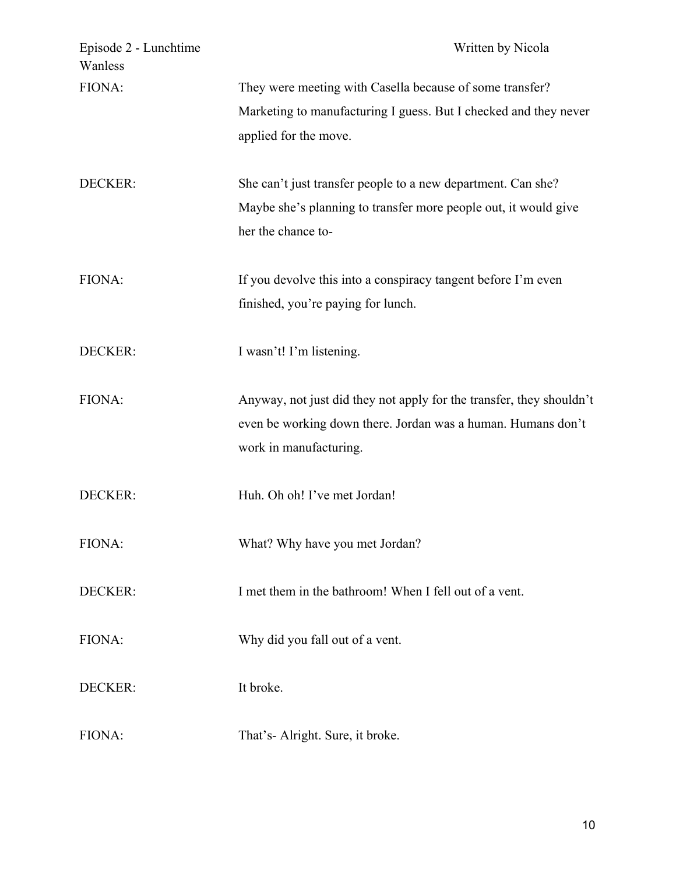| Episode 2 - Lunchtime<br>Wanless | Written by Nicola                                                                                                                                              |
|----------------------------------|----------------------------------------------------------------------------------------------------------------------------------------------------------------|
| FIONA:                           | They were meeting with Casella because of some transfer?<br>Marketing to manufacturing I guess. But I checked and they never<br>applied for the move.          |
| DECKER:                          | She can't just transfer people to a new department. Can she?<br>Maybe she's planning to transfer more people out, it would give<br>her the chance to-          |
| FIONA:                           | If you devolve this into a conspiracy tangent before I'm even<br>finished, you're paying for lunch.                                                            |
| DECKER:                          | I wasn't! I'm listening.                                                                                                                                       |
| FIONA:                           | Anyway, not just did they not apply for the transfer, they shouldn't<br>even be working down there. Jordan was a human. Humans don't<br>work in manufacturing. |
| DECKER:                          | Huh. Oh oh! I've met Jordan!                                                                                                                                   |
| FIONA:                           | What? Why have you met Jordan?                                                                                                                                 |
| DECKER:                          | I met them in the bathroom! When I fell out of a vent.                                                                                                         |
| FIONA:                           | Why did you fall out of a vent.                                                                                                                                |
| DECKER:                          | It broke.                                                                                                                                                      |
| FIONA:                           | That's-Alright. Sure, it broke.                                                                                                                                |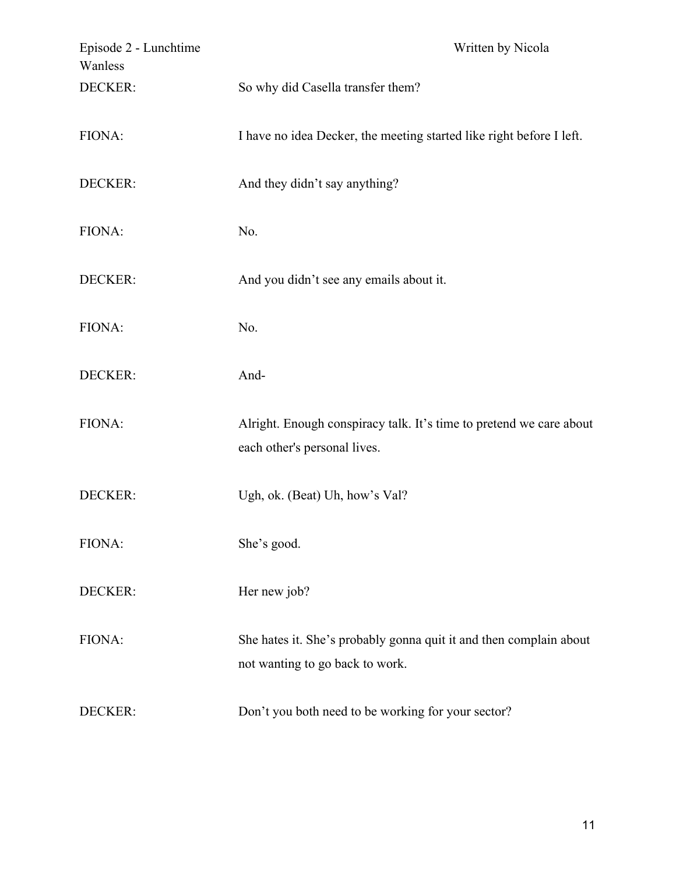| Episode 2 - Lunchtime<br>Wanless | Written by Nicola                                                                                     |
|----------------------------------|-------------------------------------------------------------------------------------------------------|
| DECKER:                          | So why did Casella transfer them?                                                                     |
| FIONA:                           | I have no idea Decker, the meeting started like right before I left.                                  |
| DECKER:                          | And they didn't say anything?                                                                         |
| FIONA:                           | No.                                                                                                   |
| DECKER:                          | And you didn't see any emails about it.                                                               |
| FIONA:                           | No.                                                                                                   |
| DECKER:                          | And-                                                                                                  |
| FIONA:                           | Alright. Enough conspiracy talk. It's time to pretend we care about<br>each other's personal lives.   |
| DECKER:                          | Ugh, ok. (Beat) Uh, how's Val?                                                                        |
| FIONA:                           | She's good.                                                                                           |
| DECKER:                          | Her new job?                                                                                          |
| FIONA:                           | She hates it. She's probably gonna quit it and then complain about<br>not wanting to go back to work. |
| DECKER:                          | Don't you both need to be working for your sector?                                                    |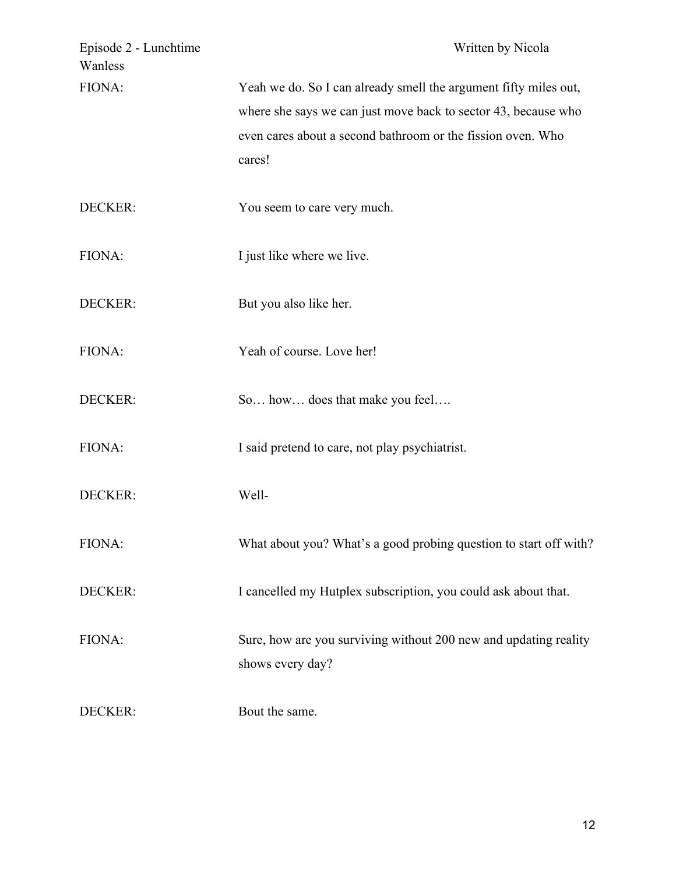| Episode 2 - Lunchtime<br>Wanless | Written by Nicola                                                                                                                                                                                           |
|----------------------------------|-------------------------------------------------------------------------------------------------------------------------------------------------------------------------------------------------------------|
| FIONA:                           | Yeah we do. So I can already smell the argument fifty miles out,<br>where she says we can just move back to sector 43, because who<br>even cares about a second bathroom or the fission oven. Who<br>cares! |
| DECKER:                          | You seem to care very much.                                                                                                                                                                                 |
| FIONA:                           | I just like where we live.                                                                                                                                                                                  |
| DECKER:                          | But you also like her.                                                                                                                                                                                      |
| FIONA:                           | Yeah of course. Love her!                                                                                                                                                                                   |
| DECKER:                          | So how does that make you feel                                                                                                                                                                              |
| FIONA:                           | I said pretend to care, not play psychiatrist.                                                                                                                                                              |
| DECKER:                          | Well-                                                                                                                                                                                                       |
| FIONA:                           | What about you? What's a good probing question to start off with?                                                                                                                                           |
| DECKER:                          | I cancelled my Hutplex subscription, you could ask about that.                                                                                                                                              |
| FIONA:                           | Sure, how are you surviving without 200 new and updating reality<br>shows every day?                                                                                                                        |
| DECKER:                          | Bout the same.                                                                                                                                                                                              |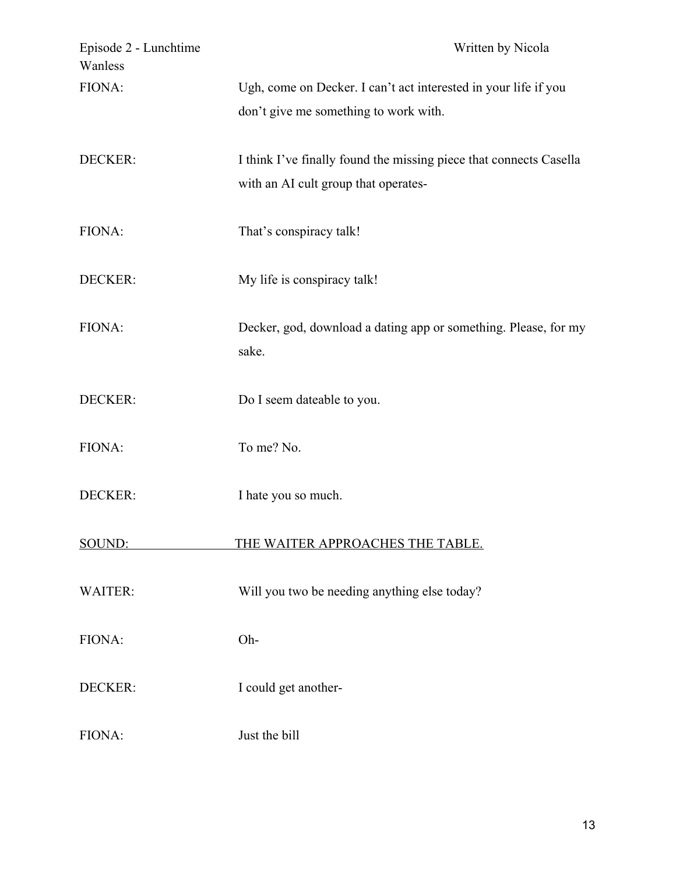| Episode 2 - Lunchtime<br>Wanless | Written by Nicola                                                        |
|----------------------------------|--------------------------------------------------------------------------|
| FIONA:                           | Ugh, come on Decker. I can't act interested in your life if you          |
|                                  | don't give me something to work with.                                    |
| DECKER:                          | I think I've finally found the missing piece that connects Casella       |
|                                  | with an AI cult group that operates-                                     |
| FIONA:                           | That's conspiracy talk!                                                  |
| DECKER:                          | My life is conspiracy talk!                                              |
| FIONA:                           | Decker, god, download a dating app or something. Please, for my<br>sake. |
| DECKER:                          | Do I seem dateable to you.                                               |
| FIONA:                           | To me? No.                                                               |
| <b>DECKER:</b>                   | I hate you so much.                                                      |
| SOUND:                           | THE WAITER APPROACHES THE TABLE.                                         |
| <b>WAITER:</b>                   | Will you two be needing anything else today?                             |
| FIONA:                           | Oh-                                                                      |
| <b>DECKER:</b>                   | I could get another-                                                     |
| FIONA:                           | Just the bill                                                            |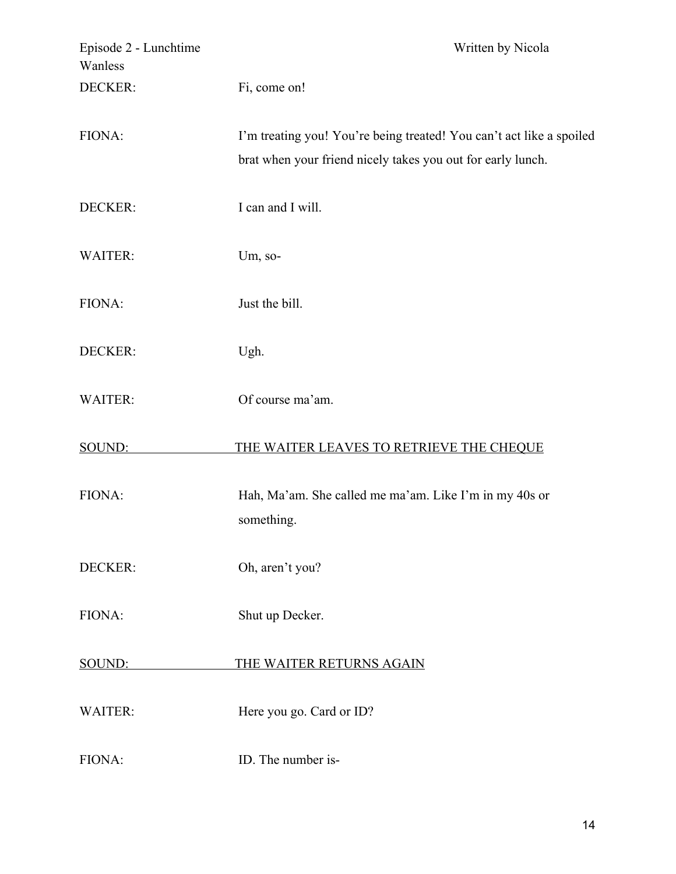| Episode 2 - Lunchtime<br>Wanless | Written by Nicola                                                                                                                   |
|----------------------------------|-------------------------------------------------------------------------------------------------------------------------------------|
| DECKER:                          | Fi, come on!                                                                                                                        |
| FIONA:                           | I'm treating you! You're being treated! You can't act like a spoiled<br>brat when your friend nicely takes you out for early lunch. |
| DECKER:                          | I can and I will.                                                                                                                   |
| WAITER:                          | Um, so-                                                                                                                             |
| FIONA:                           | Just the bill.                                                                                                                      |
| DECKER:                          | Ugh.                                                                                                                                |
| WAITER:                          | Of course ma'am.                                                                                                                    |
| SOUND:                           | THE WAITER LEAVES TO RETRIEVE THE CHEQUE                                                                                            |
| FIONA:                           | Hah, Ma'am. She called me ma'am. Like I'm in my 40s or<br>something.                                                                |
| DECKER:                          | Oh, aren't you?                                                                                                                     |
| FIONA:                           | Shut up Decker.                                                                                                                     |
| SOUND:                           | <b>THE WAITER RETURNS AGAIN</b>                                                                                                     |
| <b>WAITER:</b>                   | Here you go. Card or ID?                                                                                                            |
| FIONA:                           | ID. The number is-                                                                                                                  |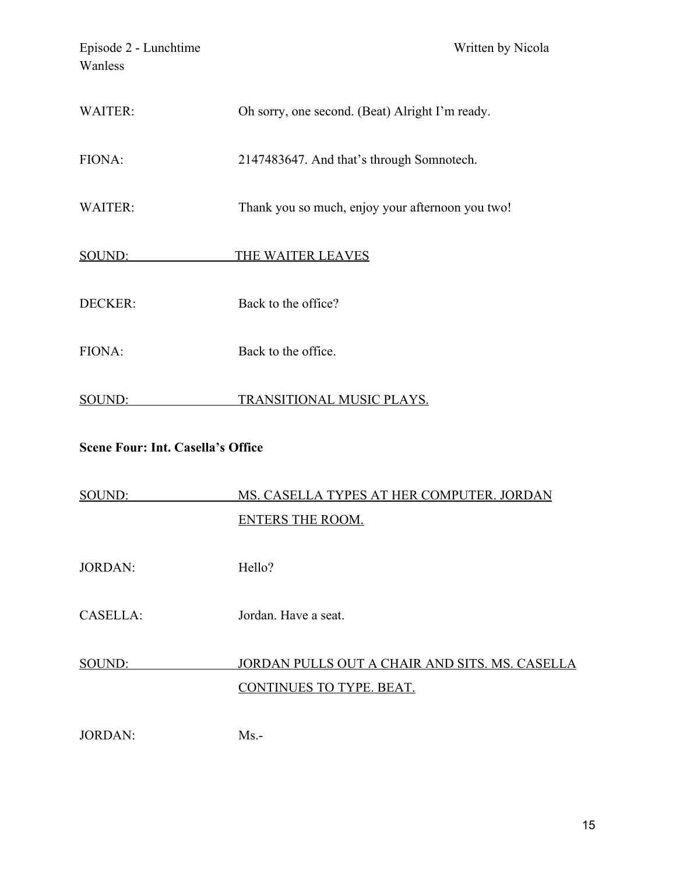| <b>WAITER:</b>                           | Oh sorry, one second. (Beat) Alright I'm ready.                      |
|------------------------------------------|----------------------------------------------------------------------|
| FIONA:                                   | 2147483647. And that's through Somnotech.                            |
| WAITER:                                  | Thank you so much, enjoy your afternoon you two!                     |
| SOUND:                                   | THE WAITER LEAVES                                                    |
| DECKER:                                  | Back to the office?                                                  |
| FIONA:                                   | Back to the office.                                                  |
| SOUND:                                   | <u>TRANSITIONAL MUSIC PLAYS.</u>                                     |
| <b>Scene Four: Int. Casella's Office</b> |                                                                      |
| SOUND:                                   | MS. CASELLA TYPES AT HER COMPUTER. JORDAN<br><b>ENTERS THE ROOM.</b> |
| <b>JORDAN:</b>                           | Hello?                                                               |
| <b>CASELLA:</b>                          | Jordan. Have a seat.                                                 |

# SOUND: JORDAN PULLS OUT A CHAIR AND SITS. MS. CASELLA CONTINUES TO TYPE. BEAT.

JORDAN: Ms.-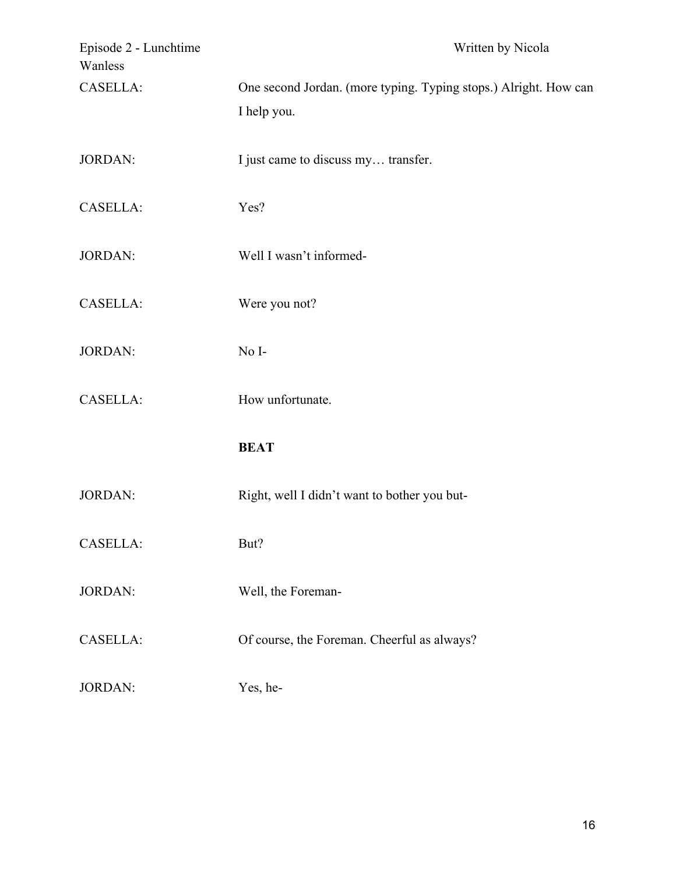| Episode 2 - Lunchtime<br>Wanless | Written by Nicola                                                |
|----------------------------------|------------------------------------------------------------------|
| CASELLA:                         | One second Jordan. (more typing. Typing stops.) Alright. How can |
|                                  | I help you.                                                      |
| <b>JORDAN:</b>                   | I just came to discuss my transfer.                              |
| CASELLA:                         | Yes?                                                             |
| <b>JORDAN:</b>                   | Well I wasn't informed-                                          |
| CASELLA:                         | Were you not?                                                    |
| <b>JORDAN:</b>                   | No I-                                                            |
| CASELLA:                         | How unfortunate.                                                 |
|                                  | <b>BEAT</b>                                                      |
| <b>JORDAN:</b>                   | Right, well I didn't want to bother you but-                     |
| CASELLA:                         | But?                                                             |
| <b>JORDAN:</b>                   | Well, the Foreman-                                               |
| CASELLA:                         | Of course, the Foreman. Cheerful as always?                      |
| <b>JORDAN:</b>                   | Yes, he-                                                         |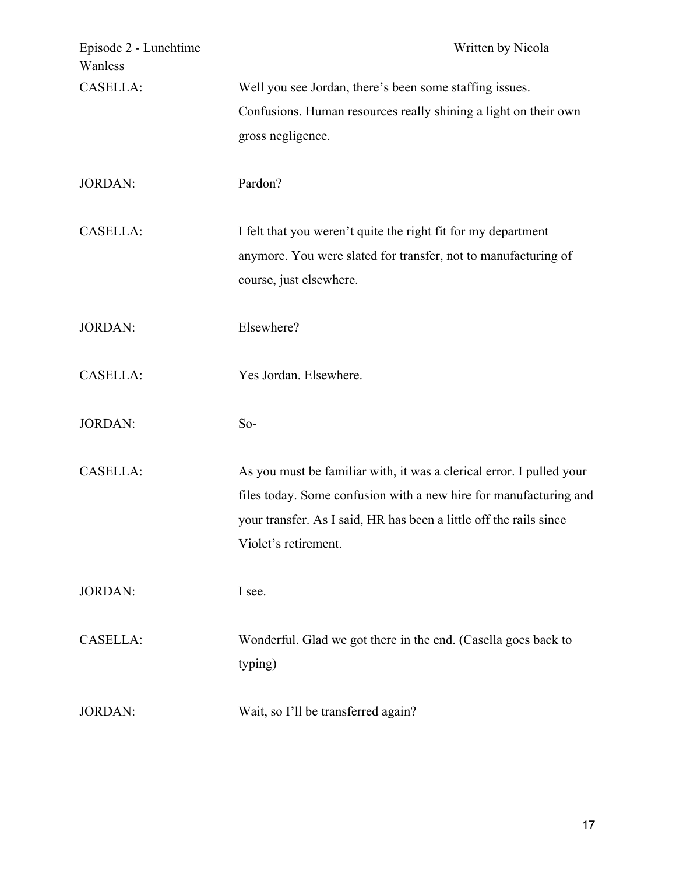| Episode 2 - Lunchtime<br>Wanless | Written by Nicola                                                    |
|----------------------------------|----------------------------------------------------------------------|
| CASELLA:                         | Well you see Jordan, there's been some staffing issues.              |
|                                  | Confusions. Human resources really shining a light on their own      |
|                                  | gross negligence.                                                    |
| <b>JORDAN:</b>                   | Pardon?                                                              |
| <b>CASELLA:</b>                  | I felt that you weren't quite the right fit for my department        |
|                                  | anymore. You were slated for transfer, not to manufacturing of       |
|                                  | course, just elsewhere.                                              |
| <b>JORDAN:</b>                   | Elsewhere?                                                           |
| <b>CASELLA:</b>                  | Yes Jordan. Elsewhere.                                               |
| <b>JORDAN:</b>                   | $So-$                                                                |
| <b>CASELLA:</b>                  | As you must be familiar with, it was a clerical error. I pulled your |
|                                  | files today. Some confusion with a new hire for manufacturing and    |
|                                  | your transfer. As I said, HR has been a little off the rails since   |
|                                  | Violet's retirement.                                                 |
| <b>JORDAN:</b>                   | I see.                                                               |
| <b>CASELLA:</b>                  | Wonderful. Glad we got there in the end. (Casella goes back to       |
|                                  | typing)                                                              |
| <b>JORDAN:</b>                   | Wait, so I'll be transferred again?                                  |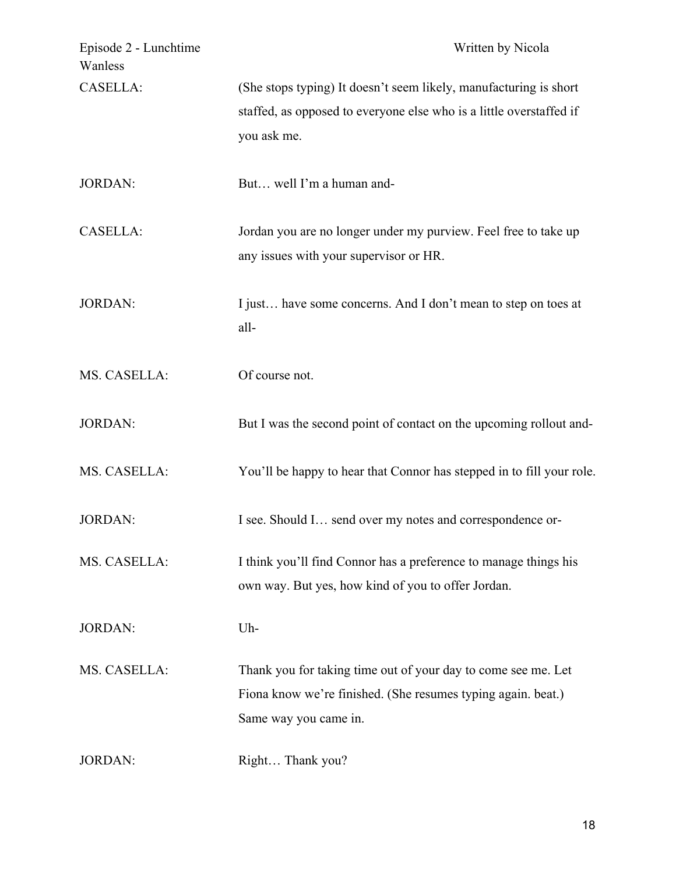| Episode 2 - Lunchtime<br>Wanless | Written by Nicola                                                                                                                                      |
|----------------------------------|--------------------------------------------------------------------------------------------------------------------------------------------------------|
| <b>CASELLA:</b>                  | (She stops typing) It doesn't seem likely, manufacturing is short<br>staffed, as opposed to everyone else who is a little overstaffed if               |
|                                  | you ask me.                                                                                                                                            |
| <b>JORDAN:</b>                   | But well I'm a human and-                                                                                                                              |
| <b>CASELLA:</b>                  | Jordan you are no longer under my purview. Feel free to take up<br>any issues with your supervisor or HR.                                              |
| <b>JORDAN:</b>                   | I just have some concerns. And I don't mean to step on toes at<br>all-                                                                                 |
| MS. CASELLA:                     | Of course not.                                                                                                                                         |
| <b>JORDAN:</b>                   | But I was the second point of contact on the upcoming rollout and-                                                                                     |
| MS. CASELLA:                     | You'll be happy to hear that Connor has stepped in to fill your role.                                                                                  |
| <b>JORDAN:</b>                   | I see. Should I send over my notes and correspondence or-                                                                                              |
| MS. CASELLA:                     | I think you'll find Connor has a preference to manage things his<br>own way. But yes, how kind of you to offer Jordan.                                 |
| <b>JORDAN:</b>                   | Uh-                                                                                                                                                    |
| MS. CASELLA:                     | Thank you for taking time out of your day to come see me. Let<br>Fiona know we're finished. (She resumes typing again. beat.)<br>Same way you came in. |
| <b>JORDAN:</b>                   | Right Thank you?                                                                                                                                       |